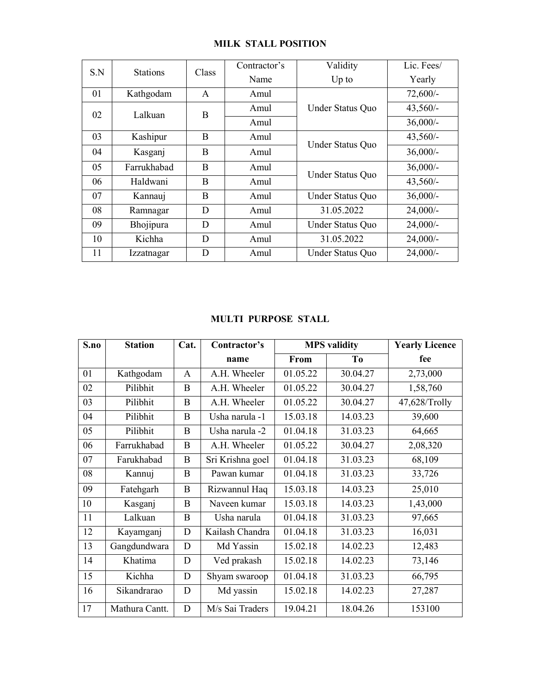|                                                   |                 |              | <b>MILK STALL POSITION</b>   |                     |                     |                       |
|---------------------------------------------------|-----------------|--------------|------------------------------|---------------------|---------------------|-----------------------|
|                                                   |                 |              |                              |                     |                     |                       |
| $\ensuremath{\mathrm{S}}.\ensuremath{\mathrm{N}}$ | <b>Stations</b> |              | Contractor's<br>Class        |                     | Validity            | Lic. Fees/            |
| 01                                                | Kathgodam       |              | Name<br>$\mathbf{A}$<br>Amul |                     | Up to               | Yearly<br>72,600/-    |
|                                                   |                 |              | Amul                         |                     | Under Status Quo    | $43,560/-$            |
| 02                                                | Lalkuan         |              | $\, {\bf B}$<br>Amul         |                     |                     | $36,000/$ -           |
| 03                                                | Kashipur        |              | $\, {\bf B}$<br>Amul         |                     |                     | $43,560/-$            |
| 04                                                | Kasganj         |              | $\, {\bf B}$<br>Amul         |                     | Under Status Quo    | $36,000/$ -           |
| 05                                                | Farrukhabad     |              | $\, {\bf B}$<br>Amul         |                     |                     | $36,000/$ -           |
| 06                                                | Haldwani        |              | $\, {\bf B}$<br>Amul         |                     | Under Status Quo    | $43,560/-$            |
| 07                                                | Kannauj         |              | $\, {\bf B}$<br>Amul         |                     | Under Status Quo    | $36,000/$ -           |
| ${\bf 08}$                                        | Ramnagar        |              | ${\bf D}$<br>Amul            |                     | 31.05.2022          | $24,000/-$            |
| 09                                                | Bhojipura       |              | ${\bf D}$<br>Amul            |                     | Under Status Quo    | $24,000/-$            |
| 10                                                | Kichha          |              | ${\bf D}$<br>Amul            |                     | 31.05.2022          | $24,000/-$            |
| 11                                                | Izzatnagar      |              | ${\bf D}$<br>Amul            |                     | Under Status Quo    | $24,000/-$            |
|                                                   |                 |              |                              |                     |                     |                       |
|                                                   |                 |              |                              |                     |                     |                       |
|                                                   |                 |              |                              |                     |                     |                       |
|                                                   |                 |              |                              |                     |                     |                       |
|                                                   |                 |              | MULTI PURPOSE STALL          |                     |                     |                       |
| S.no                                              | <b>Station</b>  | Cat.         | Contractor's                 |                     | <b>MPS</b> validity | <b>Yearly Licence</b> |
|                                                   |                 |              | name                         | From                | T <sub>0</sub>      | fee                   |
| 01                                                | Kathgodam       | $\mathbf{A}$ | A.H. Wheeler                 | 01.05.22            | 30.04.27            | 2,73,000              |
| 02                                                | Pilibhit        | $\, {\bf B}$ | A.H. Wheeler                 | 01.05.22            | 30.04.27            | 1,58,760              |
| 03                                                | Pilibhit        | $\, {\bf B}$ | A.H. Wheeler                 | 01.05.22            | 30.04.27            | 47,628/Trolly         |
|                                                   | Pilibhit        | $\, {\bf B}$ | Usha narula -1               | 15.03.18            | 14.03.23            | 39,600                |
| 04                                                |                 |              |                              | $\overline{010418}$ | 31.03.23            | 64665                 |

| 05         | Farrukhabad    |              | $\mathbf B$<br>Amul        |                       | Under Status Quo    | $36,000/$ -           |
|------------|----------------|--------------|----------------------------|-----------------------|---------------------|-----------------------|
| 06         | Haldwani       |              | $\, {\bf B}$<br>Amul       |                       |                     | 43,560/-              |
| 07         | Kannauj        |              | $\, {\bf B}$<br>Amul       |                       | Under Status Quo    | $36,000/$ -           |
| 08         | Ramnagar       |              | $\mathbf D$<br>Amul        | 31.05.2022            |                     | $24,000/-$            |
| 09         | Bhojipura      |              | $\mathbf D$<br>Amul        | Under Status Quo      |                     | 24,000/-              |
| $10\,$     | Kichha         |              | $\mathbf D$<br>Amul        |                       | 31.05.2022          | $24,000/-$            |
| 11         | Izzatnagar     |              | ${\bf D}$<br>Amul          |                       | Under Status Quo    | 24,000/-              |
|            |                |              | <b>MULTI PURPOSE STALL</b> |                       |                     |                       |
| S.no       | <b>Station</b> | Cat.         | Contractor's               |                       | <b>MPS</b> validity | <b>Yearly Licence</b> |
|            |                |              | name                       | From                  | T <sub>0</sub>      | fee                   |
| 01         | Kathgodam      | $\mathbf{A}$ | A.H. Wheeler               | 01.05.22              | 30.04.27            | 2,73,000              |
| 02         | Pilibhit       | $\bf{B}$     | A.H. Wheeler               | 01.05.22              | 30.04.27            | 1,58,760              |
| 03         | Pilibhit       | $\bf{B}$     | A.H. Wheeler               | 01.05.22              | 30.04.27            | 47,628/Trolly         |
| 04         | Pilibhit       | $\mathbf B$  | Usha narula -1             | 15.03.18              | 14.03.23            | 39,600                |
| 05         | Pilibhit       | $\bf{B}$     | Usha narula -2             | $\overline{0}1.04.18$ | 31.03.23            | 64,665                |
| 06         | Farrukhabad    | $\mathbf B$  | A.H. Wheeler               | 01.05.22              | 30.04.27            | 2,08,320              |
| 07         | Farukhabad     | $\bf{B}$     | Sri Krishna goel           | 01.04.18              | 31.03.23            | 68,109                |
| ${\bf 08}$ | Kannuj         | $\, {\bf B}$ | Pawan kumar                | 01.04.18              | 31.03.23            | 33,726                |
| 09         | Fatehgarh      | $\mathbf{B}$ | Rizwannul Haq              | 15.03.18              | 14.03.23            | 25,010                |
| 10         | Kasganj        | $\bf{B}$     | Naveen kumar               | 15.03.18              | 14.03.23            | 1,43,000              |
| 11         | Lalkuan        | $\mathbf{B}$ | Usha narula                | 01.04.18              | 31.03.23            | 97,665                |
| 12         | Kayamganj      | $\mathbf D$  | Kailash Chandra            | 01.04.18              | 31.03.23            | 16,031                |
| 13         | Gangdundwara   | ${\bf D}$    | Md Yassin                  | 15.02.18              | 14.02.23            | 12,483                |
| 14         | Khatima        | $\mathbf D$  | Ved prakash                | 15.02.18              | 14.02.23            | 73,146                |
| 15         | Kichha         | $\mathbf D$  | Shyam swaroop              | 01.04.18              | 31.03.23            | 66,795                |
|            |                | $\mathbf D$  | Md yassin                  | 15.02.18              | 14.02.23            | 27,287                |
| 16         | Sikandrarao    |              |                            |                       |                     |                       |
| 17         | Mathura Cantt. | $\mathbf D$  | M/s Sai Traders            | 19.04.21              | 18.04.26            | 153100                |